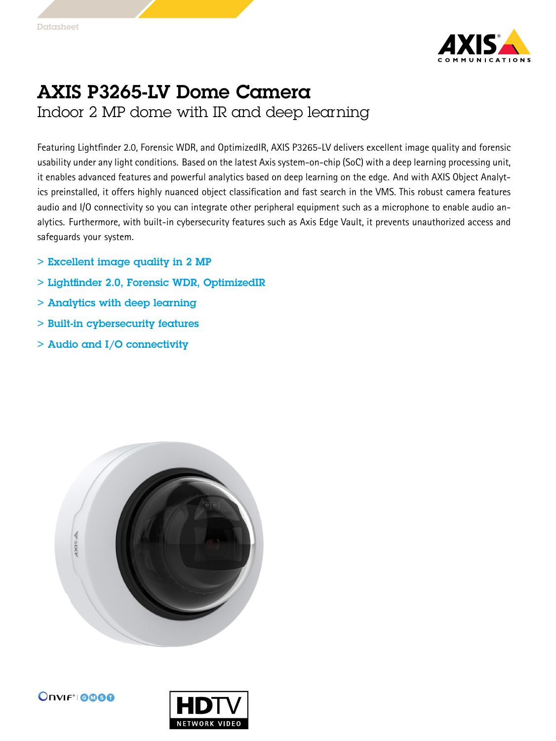

## AXIS P3265-LV Dome Camera Indoor 2 MP dome with IR and deep learning

Featuring Lightfinder 2.0, Forensic WDR, and OptimizedIR, AXIS P3265-LV delivers excellent image quality and forensic usability under any light conditions. Based on the latest Axis system-on-chip (SoC) with <sup>a</sup> deep learning processing unit, it enables advanced features and powerful analytics based on deep learning on the edge. And with AXIS Object Analytics preinstalled, it offers highly nuanced object classification and fast search in the VMS. This robust camera features audio and I/O connectivity so you can integrate other peripheral equipment such as <sup>a</sup> microphone to enable audio analytics. Furthermore, with built-in cybersecurity features such as Axis Edge Vault, it prevents unauthorized access and safeguards your system.

- > Excellent image quality in 2 MP
- > Lightfinder 2.0, Forensic WDR, OptimizedIR
- > Analytics with deep learning
- > Built-in cybersecurity features
- > Audio and I/O connectivity



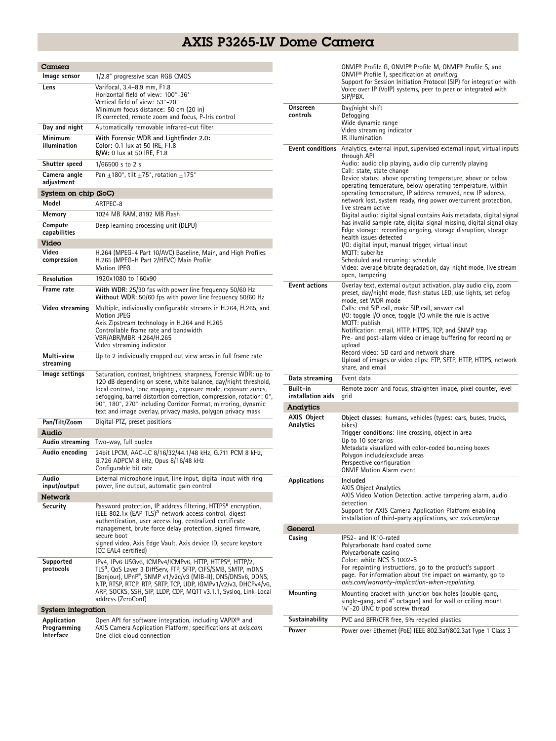## AXIS P3265-LV Dome Camera

| Camera                                  |                                                                                                                                                                                                                                                                                                                                                                                                           |  |
|-----------------------------------------|-----------------------------------------------------------------------------------------------------------------------------------------------------------------------------------------------------------------------------------------------------------------------------------------------------------------------------------------------------------------------------------------------------------|--|
| Image sensor                            | 1/2.8" progressive scan RGB CMOS                                                                                                                                                                                                                                                                                                                                                                          |  |
| Lens                                    | Varifocal, 3.4-8.9 mm, F1.8<br>Horizontal field of view: 100°-36°<br>Vertical field of view: 53°-20°<br>Minimum focus distance: 50 cm (20 in)<br>IR corrected, remote zoom and focus, P-Iris control                                                                                                                                                                                                      |  |
| Day and night                           | Automatically removable infrared-cut filter                                                                                                                                                                                                                                                                                                                                                               |  |
| Minimum<br>illumination                 | With Forensic WDR and Lightfinder 2.0:<br>Color: 0.1 lux at 50 IRE, F1.8<br><b>B/W:</b> 0 lux at 50 IRE, F1.8                                                                                                                                                                                                                                                                                             |  |
| Shutter speed                           | 1/66500 s to 2 s                                                                                                                                                                                                                                                                                                                                                                                          |  |
| Camera angle<br>adjustment              | Pan +180°, tilt +75°, rotation +175°                                                                                                                                                                                                                                                                                                                                                                      |  |
| System on chip (SoC)                    |                                                                                                                                                                                                                                                                                                                                                                                                           |  |
| Model                                   | ARTPEC-8                                                                                                                                                                                                                                                                                                                                                                                                  |  |
| Memory                                  | 1024 MB RAM, 8192 MB Flash                                                                                                                                                                                                                                                                                                                                                                                |  |
| Compute<br>capabilities                 | Deep learning processing unit (DLPU)                                                                                                                                                                                                                                                                                                                                                                      |  |
| Video                                   |                                                                                                                                                                                                                                                                                                                                                                                                           |  |
| Video<br>compression                    | H.264 (MPEG-4 Part 10/AVC) Baseline, Main, and High Profiles<br>H.265 (MPEG-H Part 2/HEVC) Main Profile<br><b>Motion JPEG</b>                                                                                                                                                                                                                                                                             |  |
| Resolution                              | 1920x1080 to 160x90                                                                                                                                                                                                                                                                                                                                                                                       |  |
| Frame rate                              | With WDR: 25/30 fps with power line frequency 50/60 Hz<br>Without WDR: 50/60 fps with power line frequency 50/60 Hz                                                                                                                                                                                                                                                                                       |  |
| Video streaming                         | Multiple, individually configurable streams in H.264, H.265, and<br>Motion JPEG<br>Axis Zipstream technology in H.264 and H.265<br>Controllable frame rate and bandwidth<br>VBR/ABR/MBR H.264/H.265<br>Video streaming indicator                                                                                                                                                                          |  |
| Multi-view<br>streaming                 | Up to 2 individually cropped out view areas in full frame rate                                                                                                                                                                                                                                                                                                                                            |  |
| lmage settings                          | Saturation, contrast, brightness, sharpness, Forensic WDR: up to<br>120 dB depending on scene, white balance, day/night threshold,<br>local contrast, tone mapping, exposure mode, exposure zones,<br>defogging, barrel distortion correction, compression, rotation: 0°,<br>90°, 180°, 270° including Corridor Format, mirroring, dynamic<br>text and image overlay, privacy masks, polygon privacy mask |  |
| Pan/Tilt/Zoom                           | Digital PTZ, preset positions                                                                                                                                                                                                                                                                                                                                                                             |  |
| Audio                                   |                                                                                                                                                                                                                                                                                                                                                                                                           |  |
| Audio streaming                         | Two-way, full duplex                                                                                                                                                                                                                                                                                                                                                                                      |  |
| Audio encoding                          | 24bit LPCM, AAC-LC 8/16/32/44.1/48 kHz, G.711 PCM 8 kHz,<br>G.726 ADPCM 8 kHz, Opus 8/16/48 kHz<br>Configurable bit rate                                                                                                                                                                                                                                                                                  |  |
| Audio                                   | External microphone input, line input, digital input with ring                                                                                                                                                                                                                                                                                                                                            |  |
| input/output                            | power, line output, automatic gain control                                                                                                                                                                                                                                                                                                                                                                |  |
| Network<br>Security                     | Password protection, IP address filtering, HTTPS <sup>a</sup> encryption,                                                                                                                                                                                                                                                                                                                                 |  |
|                                         | IEEE 802.1x (EAP-TLS) <sup>a</sup> network access control, digest<br>authentication, user access log, centralized certificate<br>management, brute force delay protection, signed firmware,<br>secure boot<br>signed video, Axis Edge Vault, Axis device ID, secure keystore<br>(CC EAL4 certified)                                                                                                       |  |
| Supported<br>protocols                  | IPv4, IPv6 USGv6, ICMPv4/ICMPv6, HTTP, HTTPS <sup>a</sup> , HTTP/2,<br>TLSª, QoS Layer 3 DiffServ, FTP, SFTP, CIFS/SMB, SMTP, mDNS<br>(Bonjour), UPnP®, SNMP v1/v2c/v3 (MIB-II), DNS/DNSv6, DDNS,<br>NTP, RTSP, RTCP, RTP, SRTP, TCP, UDP, IGMPv1/v2/v3, DHCPv4/v6,<br>ARP, SOCKS, SSH, SIP, LLDP, CDP, MQTT v3.1.1, Syslog, Link-Local<br>address (ZeroConf)                                             |  |
| System integration                      |                                                                                                                                                                                                                                                                                                                                                                                                           |  |
| Application<br>Programming<br>Interface | Open API for software integration, including VAPIX <sup>®</sup> and<br>AXIS Camera Application Platform; specifications at axis.com<br>One-click cloud connection                                                                                                                                                                                                                                         |  |

|                               | ONVIF® Profile G, ONVIF® Profile M, ONVIF® Profile S, and<br>ONVIF <sup>®</sup> Profile T, specification at onvif.org<br>Support for Session Initiation Protocol (SIP) for integration with<br>Voice over IP (VoIP) systems, peer to peer or integrated with<br>SIP/PBX.                                                                                                                                                                                                                                                                                                                                                                                                                                                                                                                                                                                                                                                          |
|-------------------------------|-----------------------------------------------------------------------------------------------------------------------------------------------------------------------------------------------------------------------------------------------------------------------------------------------------------------------------------------------------------------------------------------------------------------------------------------------------------------------------------------------------------------------------------------------------------------------------------------------------------------------------------------------------------------------------------------------------------------------------------------------------------------------------------------------------------------------------------------------------------------------------------------------------------------------------------|
| Onscreen<br>controls          | Day/night shift<br>Defogging<br>Wide dynamic range<br>Video streaming indicator<br>IR illumination                                                                                                                                                                                                                                                                                                                                                                                                                                                                                                                                                                                                                                                                                                                                                                                                                                |
| <b>Event actions</b>          | <b>Event conditions</b> Analytics, external input, supervised external input, virtual inputs<br>through API<br>Audio: audio clip playing, audio clip currently playing<br>Call: state, state change<br>Device status: above operating temperature, above or below<br>operating temperature, below operating temperature, within<br>operating temperature, IP address removed, new IP address,<br>network lost, system ready, ring power overcurrent protection,<br>live stream active<br>Digital audio: digital signal contains Axis metadata, digital signal<br>has invalid sample rate, digital signal missing, digital signal okay<br>Edge storage: recording ongoing, storage disruption, storage<br>health issues detected<br>I/O: digital input, manual trigger, virtual input<br>MQTT: subcribe<br>Scheduled and recurring: schedule<br>Video: average bitrate degradation, day-night mode, live stream<br>open, tampering |
|                               | Overlay text, external output activation, play audio clip, zoom<br>preset, day/night mode, flash status LED, use lights, set defog<br>mode, set WDR mode<br>Calls: end SIP call, make SIP call, answer call<br>$1/0$ : toggle $1/0$ once, toggle $1/0$ while the rule is active<br>MQTT: publish<br>Notification: email, HTTP, HTTPS, TCP, and SNMP trap<br>Pre- and post-alarm video or image buffering for recording or<br>upload<br>Record video: SD card and network share<br>Upload of images or video clips: FTP, SFTP, HTTP, HTTPS, network<br>share, and email                                                                                                                                                                                                                                                                                                                                                            |
| Data streaming                | Event data                                                                                                                                                                                                                                                                                                                                                                                                                                                                                                                                                                                                                                                                                                                                                                                                                                                                                                                        |
| Built-in<br>installation aids | Remote zoom and focus, straighten image, pixel counter, level<br>grid                                                                                                                                                                                                                                                                                                                                                                                                                                                                                                                                                                                                                                                                                                                                                                                                                                                             |
| Analytics                     |                                                                                                                                                                                                                                                                                                                                                                                                                                                                                                                                                                                                                                                                                                                                                                                                                                                                                                                                   |
| AXIS Object<br>Analytics      | Object classes: humans, vehicles (types: cars, buses, trucks,<br>bikes)<br>Trigger conditions: line crossing, object in area<br>Up to 10 scenarios<br>Metadata visualized with color-coded bounding boxes<br>Polygon include/exclude areas<br>Perspective configuration<br><b>ONVIF Motion Alarm event</b>                                                                                                                                                                                                                                                                                                                                                                                                                                                                                                                                                                                                                        |
| <b>Applications</b>           | Included<br><b>AXIS Object Analytics</b><br>AXIS Video Motion Detection, active tampering alarm, audio                                                                                                                                                                                                                                                                                                                                                                                                                                                                                                                                                                                                                                                                                                                                                                                                                            |
|                               | detection<br>Support for AXIS Camera Application Platform enabling<br>installation of third-party applications, see <i>axis.com/acap</i>                                                                                                                                                                                                                                                                                                                                                                                                                                                                                                                                                                                                                                                                                                                                                                                          |
| General                       |                                                                                                                                                                                                                                                                                                                                                                                                                                                                                                                                                                                                                                                                                                                                                                                                                                                                                                                                   |
| Casing                        | IP52- and IK10-rated<br>Polycarbonate hard coated dome<br>Polycarbonate casing<br>Color: white NCS S 1002-B<br>For repainting instructions, go to the product's support<br>page. For information about the impact on warranty, go to<br>axis.com/warranty-implication-when-repainting.                                                                                                                                                                                                                                                                                                                                                                                                                                                                                                                                                                                                                                            |
| Mounting                      | Mounting bracket with junction box holes (double-gang,<br>single-gang, and 4" octagon) and for wall or ceiling mount<br>1/4"-20 UNC tripod screw thread                                                                                                                                                                                                                                                                                                                                                                                                                                                                                                                                                                                                                                                                                                                                                                           |
| Sustainability                | PVC and BFR/CFR free, 5% recycled plastics                                                                                                                                                                                                                                                                                                                                                                                                                                                                                                                                                                                                                                                                                                                                                                                                                                                                                        |